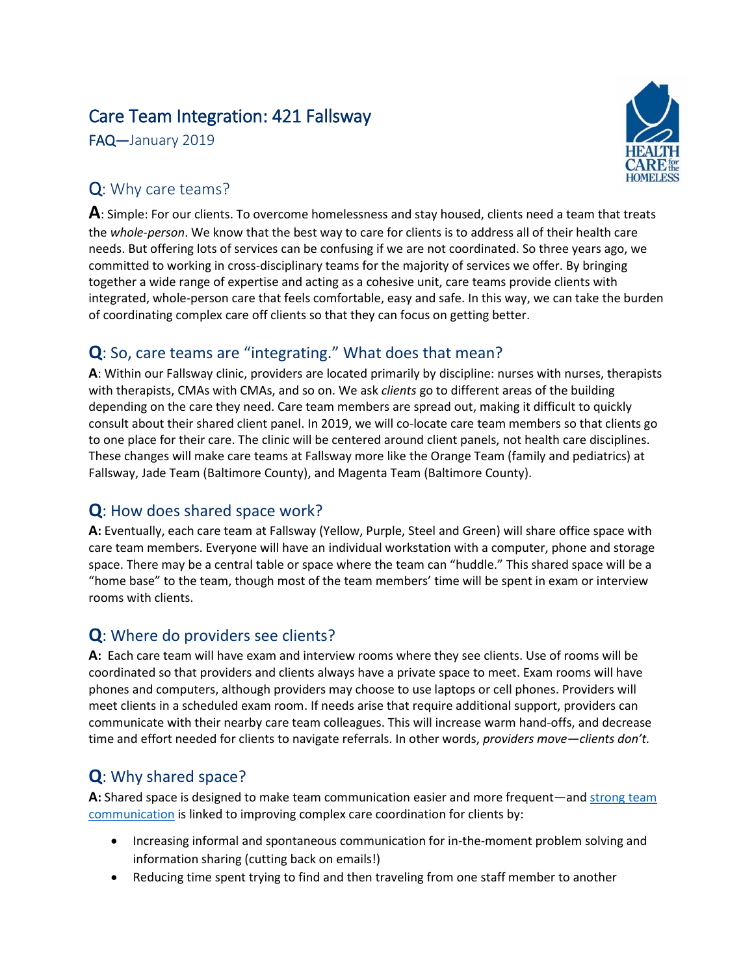# Care Team Integration: 421 Fallsway

FAQ—January 2019



## Q: Why care teams?

**A**: Simple: For our clients. To overcome homelessness and stay housed, clients need a team that treats the *whole-person*. We know that the best way to care for clients is to address all of their health care needs. But offering lots of services can be confusing if we are not coordinated. So three years ago, we committed to working in cross-disciplinary teams for the majority of services we offer. By bringing together a wide range of expertise and acting as a cohesive unit, care teams provide clients with integrated, whole-person care that feels comfortable, easy and safe. In this way, we can take the burden of coordinating complex care off clients so that they can focus on getting better.

## **Q**: So, care teams are "integrating." What does that mean?

**A**: Within our Fallsway clinic, providers are located primarily by discipline: nurses with nurses, therapists with therapists, CMAs with CMAs, and so on. We ask *clients* go to different areas of the building depending on the care they need. Care team members are spread out, making it difficult to quickly consult about their shared client panel. In 2019, we will co-locate care team members so that clients go to one place for their care. The clinic will be centered around client panels, not health care disciplines. These changes will make care teams at Fallsway more like the Orange Team (family and pediatrics) at Fallsway, Jade Team (Baltimore County), and Magenta Team (Baltimore County).

## **Q**: How does shared space work?

**A:** Eventually, each care team at Fallsway (Yellow, Purple, Steel and Green) will share office space with care team members. Everyone will have an individual workstation with a computer, phone and storage space. There may be a central table or space where the team can "huddle." This shared space will be a "home base" to the team, though most of the team members' time will be spent in exam or interview rooms with clients.

## **Q**: Where do providers see clients?

**A:** Each care team will have exam and interview rooms where they see clients. Use of rooms will be coordinated so that providers and clients always have a private space to meet. Exam rooms will have phones and computers, although providers may choose to use laptops or cell phones. Providers will meet clients in a scheduled exam room. If needs arise that require additional support, providers can communicate with their nearby care team colleagues. This will increase warm hand-offs, and decrease time and effort needed for clients to navigate referrals. In other words, *providers move—clients don't.*

## **Q**: Why shared space?

**A:** Shared space is designed to make team communication easier and more frequent—and [strong team](http://nam.edu/wp-content/uploads/2015/06/VSRT-Team-Based-Care-Principles-Values.pdf)  [communication](http://nam.edu/wp-content/uploads/2015/06/VSRT-Team-Based-Care-Principles-Values.pdf) is linked to improving complex care coordination for clients by:

- Increasing informal and spontaneous communication for in-the-moment problem solving and information sharing (cutting back on emails!)
- Reducing time spent trying to find and then traveling from one staff member to another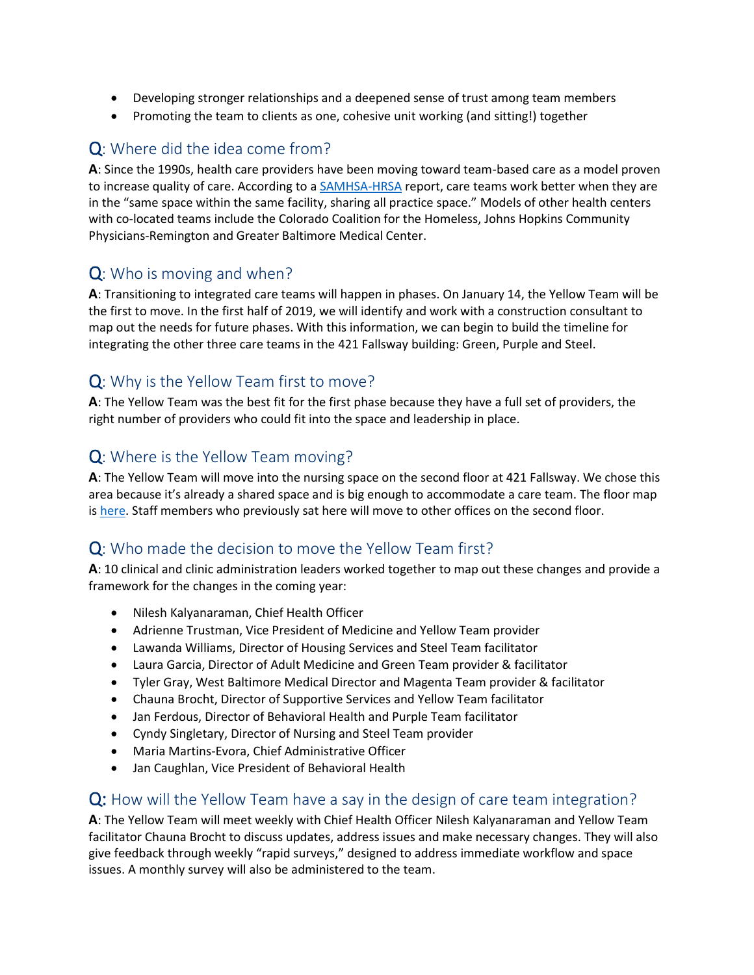- Developing stronger relationships and a deepened sense of trust among team members
- Promoting the team to clients as one, cohesive unit working (and sitting!) together

## Q: Where did the idea come from?

**A**: Since the 1990s, health care providers have been moving toward team-based care as a model proven to increase quality of care. According to [a SAMHSA-HRSA](https://www.integration.samhsa.gov/integrated-care-models/A_Standard_Framework_for_Levels_of_Integrated_Healthcare.pdf) report, care teams work better when they are in the "same space within the same facility, sharing all practice space." Models of other health centers with co-located teams include the Colorado Coalition for the Homeless, Johns Hopkins Community Physicians-Remington and Greater Baltimore Medical Center.

## Q: Who is moving and when?

**A**: Transitioning to integrated care teams will happen in phases. On January 14, the Yellow Team will be the first to move. In the first half of 2019, we will identify and work with a construction consultant to map out the needs for future phases. With this information, we can begin to build the timeline for integrating the other three care teams in the 421 Fallsway building: Green, Purple and Steel.

## Q: Why is the Yellow Team first to move?

**A**: The Yellow Team was the best fit for the first phase because they have a full set of providers, the right number of providers who could fit into the space and leadership in place.

#### Q: Where is the Yellow Team moving?

**A**: The Yellow Team will move into the nursing space on the second floor at 421 Fallsway. We chose this area because it's already a shared space and is big enough to accommodate a care team. The floor map is [here.](https://www.hchmd.org/sites/default/files/wysiwyg/Care%20Team%20Integration_2nd%20Floor%20Map_1.pdf) Staff members who previously sat here will move to other offices on the second floor.

## Q: Who made the decision to move the Yellow Team first?

**A**: 10 clinical and clinic administration leaders worked together to map out these changes and provide a framework for the changes in the coming year:

- Nilesh Kalyanaraman, Chief Health Officer
- Adrienne Trustman, Vice President of Medicine and Yellow Team provider
- Lawanda Williams, Director of Housing Services and Steel Team facilitator
- Laura Garcia, Director of Adult Medicine and Green Team provider & facilitator
- Tyler Gray, West Baltimore Medical Director and Magenta Team provider & facilitator
- Chauna Brocht, Director of Supportive Services and Yellow Team facilitator
- Jan Ferdous, Director of Behavioral Health and Purple Team facilitator
- Cyndy Singletary, Director of Nursing and Steel Team provider
- Maria Martins-Evora, Chief Administrative Officer
- Jan Caughlan, Vice President of Behavioral Health

#### Q: How will the Yellow Team have a say in the design of care team integration?

**A**: The Yellow Team will meet weekly with Chief Health Officer Nilesh Kalyanaraman and Yellow Team facilitator Chauna Brocht to discuss updates, address issues and make necessary changes. They will also give feedback through weekly "rapid surveys," designed to address immediate workflow and space issues. A monthly survey will also be administered to the team.